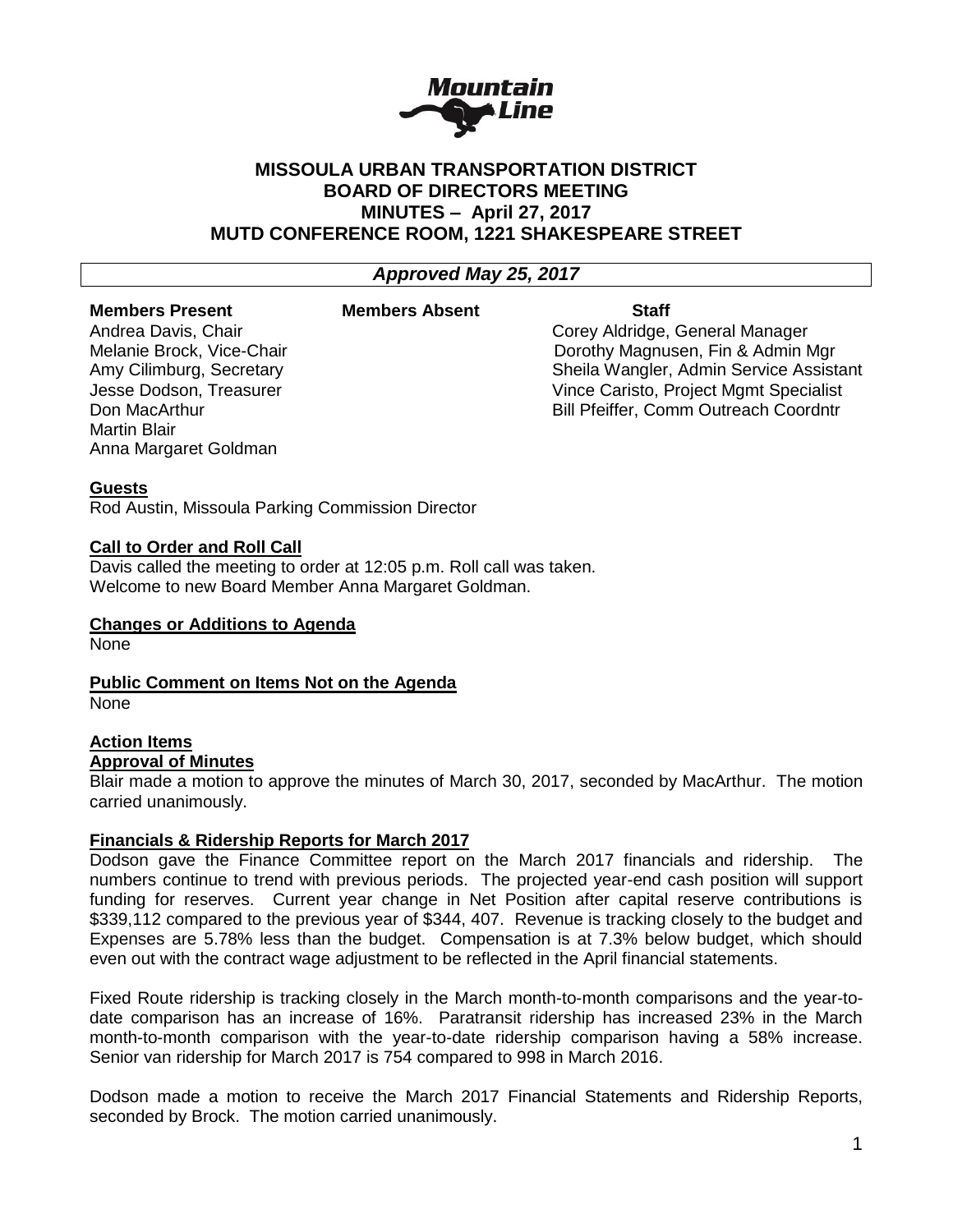

# **MISSOULA URBAN TRANSPORTATION DISTRICT BOARD OF DIRECTORS MEETING MINUTES – April 27, 2017 MUTD CONFERENCE ROOM, 1221 SHAKESPEARE STREET**

## *Approved May 25, 2017*

## **Members Present Members Absent Staff**

Martin Blair Anna Margaret Goldman

Andrea Davis, Chair Corey Aldridge, General Manager Melanie Brock, Vice-Chair **Dorothy Magnusen, Fin & Admin Mgr** Dorothy Magnusen, Fin & Admin Mgr Amy Cilimburg, Secretary Sheila Wangler, Admin Service Assistant Jesse Dodson, Treasurer Vince Caristo, Project Mgmt Specialist Don MacArthur **Bill Pfeiffer, Comm Outreach Coordntr** Bill Pfeiffer, Comm Outreach Coordntr

## **Guests**

Rod Austin, Missoula Parking Commission Director

## **Call to Order and Roll Call**

Davis called the meeting to order at 12:05 p.m. Roll call was taken. Welcome to new Board Member Anna Margaret Goldman.

#### **Changes or Additions to Agenda**

None

**Public Comment on Items Not on the Agenda** None

# **Action Items**

## **Approval of Minutes**

Blair made a motion to approve the minutes of March 30, 2017, seconded by MacArthur. The motion carried unanimously.

## **Financials & Ridership Reports for March 2017**

Dodson gave the Finance Committee report on the March 2017 financials and ridership. The numbers continue to trend with previous periods. The projected year-end cash position will support funding for reserves. Current year change in Net Position after capital reserve contributions is \$339,112 compared to the previous year of \$344, 407. Revenue is tracking closely to the budget and Expenses are 5.78% less than the budget. Compensation is at 7.3% below budget, which should even out with the contract wage adjustment to be reflected in the April financial statements.

Fixed Route ridership is tracking closely in the March month-to-month comparisons and the year-todate comparison has an increase of 16%. Paratransit ridership has increased 23% in the March month-to-month comparison with the year-to-date ridership comparison having a 58% increase. Senior van ridership for March 2017 is 754 compared to 998 in March 2016.

Dodson made a motion to receive the March 2017 Financial Statements and Ridership Reports, seconded by Brock. The motion carried unanimously.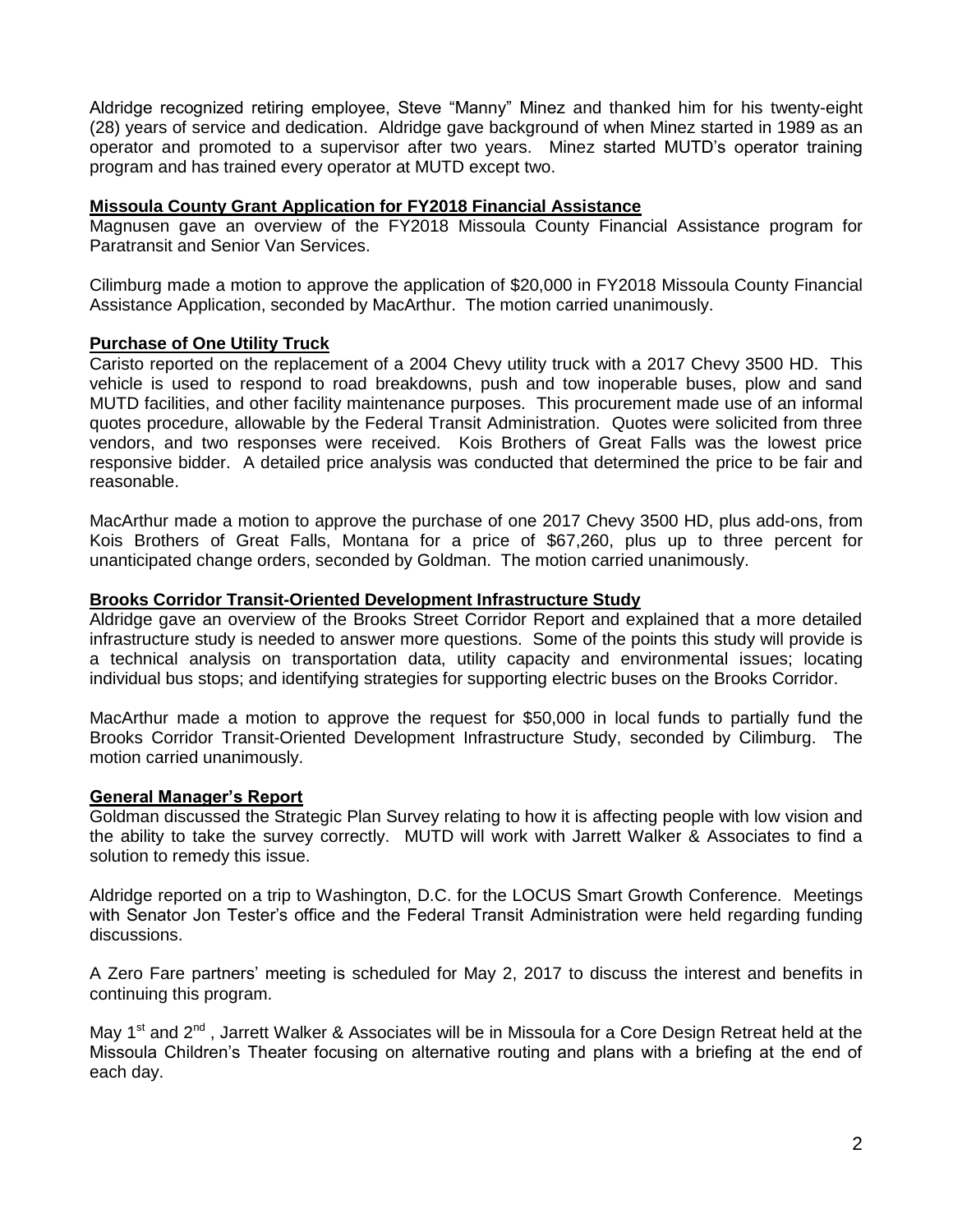Aldridge recognized retiring employee, Steve "Manny" Minez and thanked him for his twenty-eight (28) years of service and dedication. Aldridge gave background of when Minez started in 1989 as an operator and promoted to a supervisor after two years. Minez started MUTD's operator training program and has trained every operator at MUTD except two.

#### **Missoula County Grant Application for FY2018 Financial Assistance**

Magnusen gave an overview of the FY2018 Missoula County Financial Assistance program for Paratransit and Senior Van Services.

Cilimburg made a motion to approve the application of \$20,000 in FY2018 Missoula County Financial Assistance Application, seconded by MacArthur. The motion carried unanimously.

#### **Purchase of One Utility Truck**

Caristo reported on the replacement of a 2004 Chevy utility truck with a 2017 Chevy 3500 HD. This vehicle is used to respond to road breakdowns, push and tow inoperable buses, plow and sand MUTD facilities, and other facility maintenance purposes. This procurement made use of an informal quotes procedure, allowable by the Federal Transit Administration. Quotes were solicited from three vendors, and two responses were received. Kois Brothers of Great Falls was the lowest price responsive bidder. A detailed price analysis was conducted that determined the price to be fair and reasonable.

MacArthur made a motion to approve the purchase of one 2017 Chevy 3500 HD, plus add-ons, from Kois Brothers of Great Falls, Montana for a price of \$67,260, plus up to three percent for unanticipated change orders, seconded by Goldman. The motion carried unanimously.

#### **Brooks Corridor Transit-Oriented Development Infrastructure Study**

Aldridge gave an overview of the Brooks Street Corridor Report and explained that a more detailed infrastructure study is needed to answer more questions. Some of the points this study will provide is a technical analysis on transportation data, utility capacity and environmental issues; locating individual bus stops; and identifying strategies for supporting electric buses on the Brooks Corridor.

MacArthur made a motion to approve the request for \$50,000 in local funds to partially fund the Brooks Corridor Transit-Oriented Development Infrastructure Study, seconded by Cilimburg. The motion carried unanimously.

#### **General Manager's Report**

Goldman discussed the Strategic Plan Survey relating to how it is affecting people with low vision and the ability to take the survey correctly. MUTD will work with Jarrett Walker & Associates to find a solution to remedy this issue.

Aldridge reported on a trip to Washington, D.C. for the LOCUS Smart Growth Conference. Meetings with Senator Jon Tester's office and the Federal Transit Administration were held regarding funding discussions.

A Zero Fare partners' meeting is scheduled for May 2, 2017 to discuss the interest and benefits in continuing this program.

May 1<sup>st</sup> and 2<sup>nd</sup>, Jarrett Walker & Associates will be in Missoula for a Core Design Retreat held at the Missoula Children's Theater focusing on alternative routing and plans with a briefing at the end of each day.